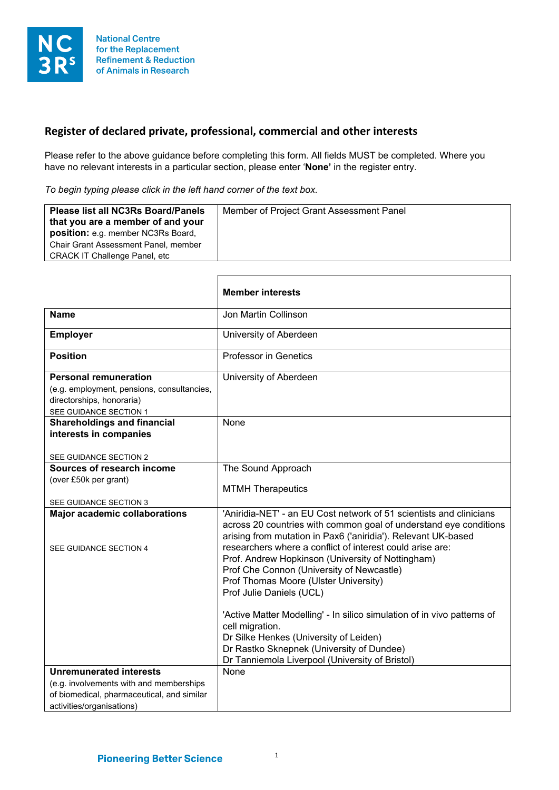

## **Register of declared private, professional, commercial and other interests**

Please refer to the above guidance before completing this form. All fields MUST be completed. Where you have no relevant interests in a particular section, please enter '**None'** in the register entry.

*To begin typing please click in the left hand corner of the text box.*

| Member of Project Grant Assessment Panel<br><b>Please list all NC3Rs Board/Panels</b><br>that you are a member of and your<br>position: e.g. member NC3Rs Board,<br>Chair Grant Assessment Panel, member<br><b>CRACK IT Challenge Panel, etc.</b> |
|---------------------------------------------------------------------------------------------------------------------------------------------------------------------------------------------------------------------------------------------------|
|---------------------------------------------------------------------------------------------------------------------------------------------------------------------------------------------------------------------------------------------------|

┓

|                                                                                                                                                      | <b>Member interests</b>                                                                                                                                                                                                                                                                                                                                                                                                                                                                                                                                                                                                                                                               |
|------------------------------------------------------------------------------------------------------------------------------------------------------|---------------------------------------------------------------------------------------------------------------------------------------------------------------------------------------------------------------------------------------------------------------------------------------------------------------------------------------------------------------------------------------------------------------------------------------------------------------------------------------------------------------------------------------------------------------------------------------------------------------------------------------------------------------------------------------|
| <b>Name</b>                                                                                                                                          | Jon Martin Collinson                                                                                                                                                                                                                                                                                                                                                                                                                                                                                                                                                                                                                                                                  |
| <b>Employer</b>                                                                                                                                      | University of Aberdeen                                                                                                                                                                                                                                                                                                                                                                                                                                                                                                                                                                                                                                                                |
| <b>Position</b>                                                                                                                                      | <b>Professor in Genetics</b>                                                                                                                                                                                                                                                                                                                                                                                                                                                                                                                                                                                                                                                          |
| <b>Personal remuneration</b><br>(e.g. employment, pensions, consultancies,<br>directorships, honoraria)<br>SEE GUIDANCE SECTION 1                    | University of Aberdeen                                                                                                                                                                                                                                                                                                                                                                                                                                                                                                                                                                                                                                                                |
| <b>Shareholdings and financial</b><br>interests in companies<br>SEE GUIDANCE SECTION 2                                                               | None                                                                                                                                                                                                                                                                                                                                                                                                                                                                                                                                                                                                                                                                                  |
| Sources of research income<br>(over £50k per grant)<br>SEE GUIDANCE SECTION 3                                                                        | The Sound Approach<br><b>MTMH Therapeutics</b>                                                                                                                                                                                                                                                                                                                                                                                                                                                                                                                                                                                                                                        |
| <b>Major academic collaborations</b><br>SEE GUIDANCE SECTION 4                                                                                       | 'Aniridia-NET' - an EU Cost network of 51 scientists and clinicians<br>across 20 countries with common goal of understand eye conditions<br>arising from mutation in Pax6 ('aniridia'). Relevant UK-based<br>researchers where a conflict of interest could arise are:<br>Prof. Andrew Hopkinson (University of Nottingham)<br>Prof Che Connon (University of Newcastle)<br>Prof Thomas Moore (Ulster University)<br>Prof Julie Daniels (UCL)<br>'Active Matter Modelling' - In silico simulation of in vivo patterns of<br>cell migration.<br>Dr Silke Henkes (University of Leiden)<br>Dr Rastko Sknepnek (University of Dundee)<br>Dr Tanniemola Liverpool (University of Bristol) |
| <b>Unremunerated interests</b><br>(e.g. involvements with and memberships<br>of biomedical, pharmaceutical, and similar<br>activities/organisations) | None                                                                                                                                                                                                                                                                                                                                                                                                                                                                                                                                                                                                                                                                                  |